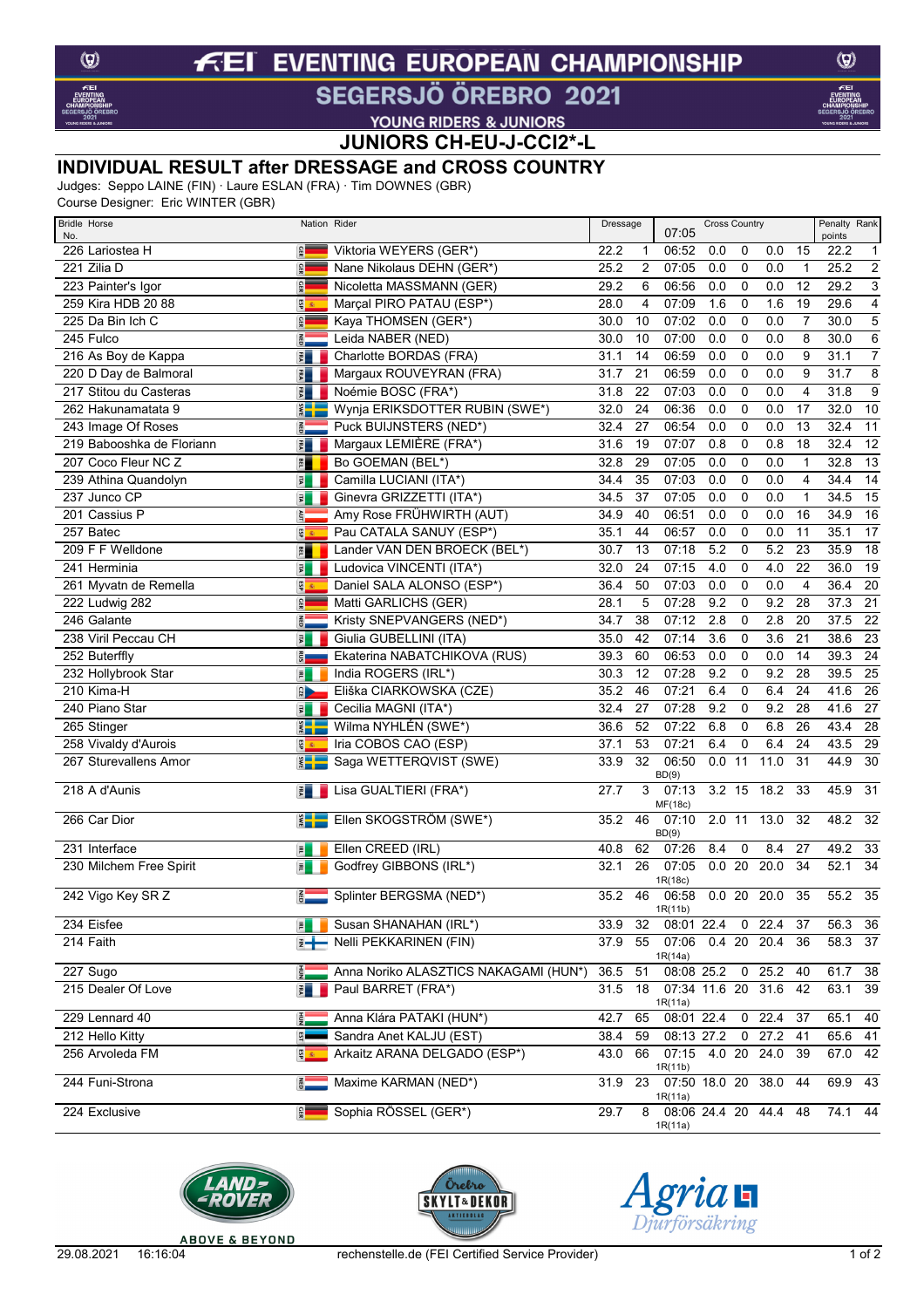#### **EVENTING EUROPEAN CHAMPIONSHIP**  $f$ El

# SEGERSJÖ ÖREBRO 2021

YOUNG RIDERS & JUNIORS

**JUNIORS CH-EU-J-CCI2\*-L**

### **INDIVIDUAL RESULT after DRESSAGE and CROSS COUNTRY**

Judges: Seppo LAINE (FIN) · Laure ESLAN (FRA) · Tim DOWNES (GBR)

Course Designer: Eric WINTER (GBR)

| <b>Bridle Horse</b><br>No. |                  | Nation Rider                                            | Dressage |                | 07:05                             | <b>Cross Country</b> |                |                       |                | Penalty Rank<br>points |                 |
|----------------------------|------------------|---------------------------------------------------------|----------|----------------|-----------------------------------|----------------------|----------------|-----------------------|----------------|------------------------|-----------------|
| 226 Lariostea H            | GER              | Viktoria WEYERS (GER*)                                  | 22.2     | 1              | 06:52                             | 0.0                  | 0              | 0.0                   | 15             | 22.2                   | 1               |
| 221 Zilia D                | GER              | Nane Nikolaus DEHN (GER*)                               | 25.2     | $\overline{2}$ | 07:05                             | 0.0                  | 0              | 0.0                   | $\mathbf{1}$   | 25.2                   | $\overline{2}$  |
| 223 Painter's Igor         | <b>GER</b>       | Nicoletta MASSMANN (GER)                                | 29.2     | 6              | 06:56                             | 0.0                  | 0              | 0.0                   | 12             | 29.2                   | $\overline{3}$  |
| 259 Kira HDB 20 88         | $rac{1}{2}$      | Marçal PIRO PATAU (ESP*)                                | 28.0     | 4              | 07:09                             | 1.6                  | $\mathbf 0$    | 1.6                   | 19             | 29.6                   | $\overline{4}$  |
| 225 Da Bin Ich C           | GER              | Kaya THOMSEN (GER*)                                     | 30.0     | 10             | 07:02                             | 0.0                  | 0              | 0.0                   | $\overline{7}$ | 30.0                   | $\overline{5}$  |
| 245 Fulco                  | <b>Q3N</b>       | Leida NABER (NED)                                       | 30.0     | 10             | 07:00                             | 0.0                  | 0              | 0.0                   | 8              | 30.0                   | $\overline{6}$  |
| 216 As Boy de Kappa        | $\frac{1}{2}$    | Charlotte BORDAS (FRA)                                  | 31.1     | 14             | 06:59                             | 0.0                  | 0              | 0.0                   | 9              | 31.1                   | $\overline{7}$  |
| 220 D Day de Balmoral      | $\frac{1}{2}$    | Margaux ROUVEYRAN (FRA)                                 | 31.7     | 21             | 06:59                             | 0.0                  | 0              | 0.0                   | 9              | 31.7                   | $\overline{8}$  |
| 217 Stitou du Casteras     | Ex               | Noémie BOSC (FRA*)                                      | 31.8     | 22             | 07:03                             | 0.0                  | 0              | 0.0                   | 4              | 31.8                   | $\overline{9}$  |
| 262 Hakunamatata 9         | <b>SWE</b>       | Wynja ERIKSDOTTER RUBIN (SWE*)                          | 32.0     | 24             | 06:36                             | 0.0                  | 0              | 0.0                   | 17             | 32.0                   | 10              |
| 243 Image Of Roses         | $\frac{2}{9}$    | Puck BUIJNSTERS (NED*)                                  | 32.4     | 27             | 06:54                             | 0.0                  | 0              | 0.0                   | 13             | 32.4                   | 11              |
| 219 Babooshka de Floriann  | $\frac{1}{2}$    | Margaux LEMIÈRE (FRA*)                                  | 31.6     | 19             | 07:07                             | 0.8                  | 0              | 0.8                   | 18             | 32.4                   | $\overline{12}$ |
| 207 Coco Fleur NC Z        | F                | Bo GOEMAN (BEL*)                                        | 32.8     | 29             | 07:05                             | 0.0                  | 0              | 0.0                   | 1              | 32.8                   | 13              |
| 239 Athina Quandolyn       | 国                | Camilla LUCIANI (ITA*)                                  | 34.4     | 35             | 07:03                             | 0.0                  | 0              | 0.0                   | $\overline{4}$ | 34.4                   | $\overline{14}$ |
| 237 Junco CP               | 园                | Ginevra GRIZZETTI (ITA*)                                | 34.5     | 37             | 07:05                             | 0.0                  | $\mathbf 0$    | 0.0                   | $\mathbf{1}$   | 34.5                   | $\overline{15}$ |
| 201 Cassius P              | š,               | Amy Rose FRÜHWIRTH (AUT)                                | 34.9     | 40             | 06:51                             | 0.0                  | $\mathbf 0$    | 0.0                   | 16             | 34.9                   | $\overline{16}$ |
| 257 Batec                  | ESP              | Pau CATALA SANUY (ESP*)                                 | 35.1     | 44             | 06:57                             | 0.0                  | 0              | 0.0                   | 11             | 35.1                   | 17              |
| 209 F F Welldone           | F                | Lander VAN DEN BROECK (BEL*)                            | 30.7     | 13             | 07:18                             | 5.2                  | $\mathbf 0$    | 5.2                   | 23             | 35.9                   | $\overline{18}$ |
| 241 Herminia               | 国                | Ludovica VINCENTI (ITA*)                                | 32.0     | 24             | 07:15                             | 4.0                  | 0              | 4.0                   | 22             | 36.0                   | $\overline{19}$ |
| 261 Myvatn de Remella      | 5                | Daniel SALA ALONSO (ESP*)                               | 36.4     | 50             | 07:03                             | 0.0                  | 0              | 0.0                   | $\overline{4}$ | 36.4                   | $\overline{20}$ |
| 222 Ludwig 282             | GER              | Matti GARLICHS (GER)                                    | 28.1     | 5              | 07:28                             | 9.2                  | 0              | 9.2                   | 28             | 37.3                   | $\overline{21}$ |
| 246 Galante                | <b>QBD</b>       | Kristy SNEPVANGERS (NED*)                               | 34.7     | 38             | 07:12                             | 2.8                  | 0              | 2.8                   | 20             | 37.5                   | $\overline{22}$ |
| 238 Viril Peccau CH        | 国                | Giulia GUBELLINI (ITA)                                  | 35.0     | 42             | 07:14                             | 3.6                  | 0              | 3.6                   | 21             | 38.6                   | 23              |
| 252 Buterffly              | $\frac{1}{105}$  | Ekaterina NABATCHIKOVA (RUS)                            | 39.3     | 60             | 06:53                             | 0.0                  | 0              | 0.0                   | 14             | 39.3                   | $\overline{24}$ |
| 232 Hollybrook Star        | $\overline{z}$   | India ROGERS (IRL*)                                     | 30.3     | 12             | 07:28                             | 9.2                  | 0              | 9.2                   | 28             | 39.5                   | $\overline{25}$ |
| 210 Kima-H                 | $\frac{1}{C_1E}$ | Eliška CIARKOWSKA (CZE)                                 | 35.2     | 46             | 07:21                             | 6.4                  | 0              | 6.4                   | 24             | 41.6                   | $\overline{26}$ |
| 240 Piano Star             | 国                | Cecilia MAGNI (ITA*)                                    | 32.4     | 27             | 07:28                             | 9.2                  | 0              | 9.2                   | 28             | 41.6                   | $\overline{27}$ |
| 265 Stinger                | $\frac{2}{3}$    | Wilma NYHLÉN (SWE*)                                     | 36.6     | 52             | 07:22                             | 6.8                  | 0              | 6.8                   | 26             | 43.4                   | 28              |
| 258 Vivaldy d'Aurois       | B<br>B           | Iria COBOS CAO (ESP)                                    | 37.1     | 53             | 07:21                             | 6.4                  | 0              | 6.4                   | 24             | 43.5                   | 29              |
| 267 Sturevallens Amor      | $rac{1}{2}$      | Saga WETTERQVIST (SWE)                                  | 33.9     | 32             | 06:50                             | 0.0                  | 11             | 11.0                  | 31             | 44.9                   | 30              |
|                            |                  |                                                         |          |                | BD(9)                             |                      |                |                       |                |                        |                 |
| 218 A d'Aunis              | $\frac{1}{2}$    | Lisa GUALTIERI (FRA*)                                   | 27.7     | 3              | 07:13                             | $3.2$ 15             |                | 18.2                  | 33             | 45.9                   | 31              |
| 266 Car Dior               | $rac{1}{2}$      | Ellen SKOGSTRÖM (SWE*)                                  | 35.2     | 46             | MF(18c)<br>07:10                  | $2.0$ 11             |                | 13.0                  | 32             | 48.2                   | 32              |
|                            |                  |                                                         |          |                | BD(9)                             |                      |                |                       |                |                        |                 |
| 231 Interface              | $\overline{p}$   | Ellen CREED (IRL)                                       | 40.8     | 62             | 07:26                             | 8.4                  | 0              | 8.4                   | 27             | 49.2                   | 33              |
| 230 Milchem Free Spirit    | $\overline{P}$   | Godfrey GIBBONS (IRL*)                                  | 32.1     | 26             | 07:05                             | 0.020                |                | 20.0                  | 34             | 52.1                   | 34              |
|                            |                  |                                                         |          |                | 1R(18c)                           |                      |                |                       |                |                        |                 |
| 242 Vigo Key SR Z          | $rac{1}{6}$      | Splinter BERGSMA (NED*)                                 | 35.2     | 46             | 06:58<br>1R(11b)                  |                      |                | 0.02020.0             | 35             | $55.2$ 35              |                 |
| 234 Eisfee                 | $\overline{P}$   | Susan SHANAHAN (IRL*)                                   | 33.9     | 32             | 08:01 22.4 0 22.4                 |                      |                |                       | -37            | 56.3 36                |                 |
| 214 Faith                  | ∄−               | Nelli PEKKARINEN (FIN)                                  | 37.9     | 55             | 07:06                             | $0.4$ 20             |                | 20.4                  | 36             | 58.3 37                |                 |
|                            |                  |                                                         |          |                | 1R(14a)                           |                      |                |                       |                |                        |                 |
| 227 Sugo                   | 탉                | Anna Noriko ALASZTICS NAKAGAMI (HUN*)                   | 36.5     | 51             | 08:08 25.2                        |                      |                | $0$ 25.2              | 40             | 61.7                   | 38              |
| 215 Dealer Of Love         | $\frac{1}{5}$    | Paul BARRET (FRA*)                                      | 31.5     | 18             | 07:34 11.6 20                     |                      |                | 31.6                  | 42             | 63.1                   | 39              |
| 229 Lennard 40             |                  |                                                         |          |                | 1R(11a)<br>08:01 22.4             |                      |                | $0$ 22.4              |                |                        |                 |
|                            | $\frac{1}{2}$    | Anna Klára PATAKI (HUN*)                                | 42.7     | 65             |                                   |                      |                |                       | 37             | 65.1                   | 40              |
| 212 Hello Kitty            | $\overline{3}$   | Sandra Anet KALJU (EST)<br>Arkaitz ARANA DELGADO (ESP*) | 38.4     | 59             | 08:13 27.2<br>$07:15$ 4.0 20 24.0 |                      | $\overline{0}$ | 27.2                  | 41             | 65.6 41                |                 |
| 256 Arvoleda FM            | g 종              |                                                         | 43.0     | 66             | 1R(11b)                           |                      |                |                       | 39             | 67.0 42                |                 |
| 244 Funi-Strona            | ē.               | Maxime KARMAN (NED*)                                    | 31.9     |                | 23 07:50 18.0 20 38.0             |                      |                |                       | 44             | 69.9 43                |                 |
|                            |                  |                                                         |          |                | 1R(11a)                           |                      |                |                       |                |                        |                 |
| 224 Exclusive              | $\frac{1}{2}$    | Sophia RÖSSEL (GER*)                                    | 29.7     | 8              |                                   |                      |                | 08:06 24.4 20 44.4 48 |                | 74.1 44                |                 |
|                            |                  |                                                         |          |                | 1R(11a)                           |                      |                |                       |                |                        |                 |







 $\circledcirc$